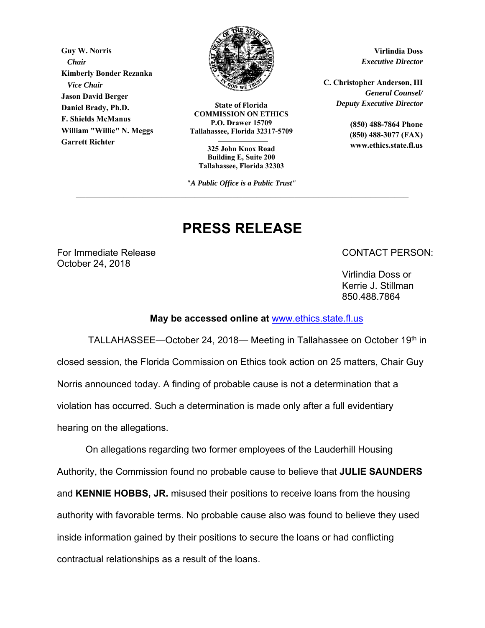**Guy W. Norris**   *Chair*  **Kimberly Bonder Rezanka**   *Vice Chair*  **Jason David Berger Daniel Brady, Ph.D. F. Shields McManus William "Willie" N. Meggs Garrett Richter** 



**State of Florida COMMISSION ON ETHICS P.O. Drawer 15709 Tallahassee, Florida 32317-5709** 

**325 John Knox Road Building E, Suite 200 Tallahassee, Florida 32303** 

*"A Public Office is a Public Trust"*

**PRESS RELEASE** 

**Virlindia Doss** *Executive Director* 

**C. Christopher Anderson, III**   *General Counsel/ Deputy Executive Director* 

> **(850) 488-7864 Phone (850) 488-3077 (FAX) www.ethics.state.fl.us**

For Immediate Release **CONTACT PERSON:** 

October 24, 2018

 Virlindia Doss or Kerrie J. Stillman 850.488.7864

**May be accessed online at** www.ethics.state.fl.us

TALLAHASSEE-October 24, 2018- Meeting in Tallahassee on October 19th in closed session, the Florida Commission on Ethics took action on 25 matters, Chair Guy Norris announced today. A finding of probable cause is not a determination that a violation has occurred. Such a determination is made only after a full evidentiary hearing on the allegations.

 On allegations regarding two former employees of the Lauderhill Housing Authority, the Commission found no probable cause to believe that **JULIE SAUNDERS** and **KENNIE HOBBS, JR.** misused their positions to receive loans from the housing authority with favorable terms. No probable cause also was found to believe they used inside information gained by their positions to secure the loans or had conflicting contractual relationships as a result of the loans.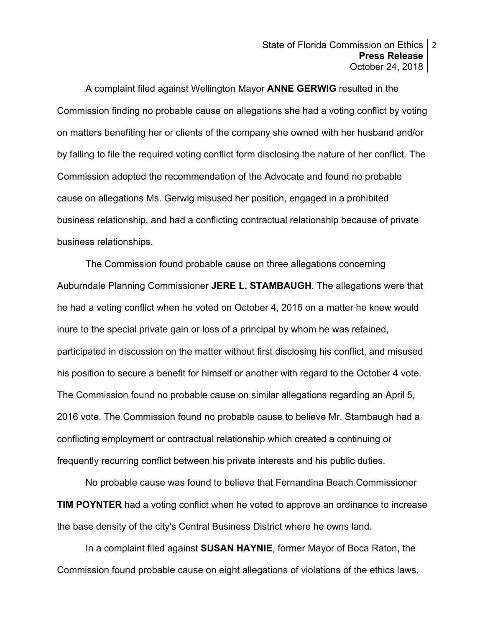## State of Florida Commission on Ethics 2 **Press Release**  October 24, 2018

 A complaint filed against Wellington Mayor **ANNE GERWIG** resulted in the Commission finding no probable cause on allegations she had a voting conflict by voting on matters benefiting her or clients of the company she owned with her husband and/or by failing to file the required voting conflict form disclosing the nature of her conflict. The Commission adopted the recommendation of the Advocate and found no probable cause on allegations Ms. Gerwig misused her position, engaged in a prohibited business relationship, and had a conflicting contractual relationship because of private business relationships.

 The Commission found probable cause on three allegations concerning Auburndale Planning Commissioner **JERE L. STAMBAUGH**. The allegations were that he had a voting conflict when he voted on October 4, 2016 on a matter he knew would inure to the special private gain or loss of a principal by whom he was retained, participated in discussion on the matter without first disclosing his conflict, and misused his position to secure a benefit for himself or another with regard to the October 4 vote. The Commission found no probable cause on similar allegations regarding an April 5, 2016 vote. The Commission found no probable cause to believe Mr. Stambaugh had a conflicting employment or contractual relationship which created a continuing or frequently recurring conflict between his private interests and his public duties.

 No probable cause was found to believe that Fernandina Beach Commissioner **TIM POYNTER** had a voting conflict when he voted to approve an ordinance to increase the base density of the city's Central Business District where he owns land.

 In a complaint filed against **SUSAN HAYNIE**, former Mayor of Boca Raton, the Commission found probable cause on eight allegations of violations of the ethics laws.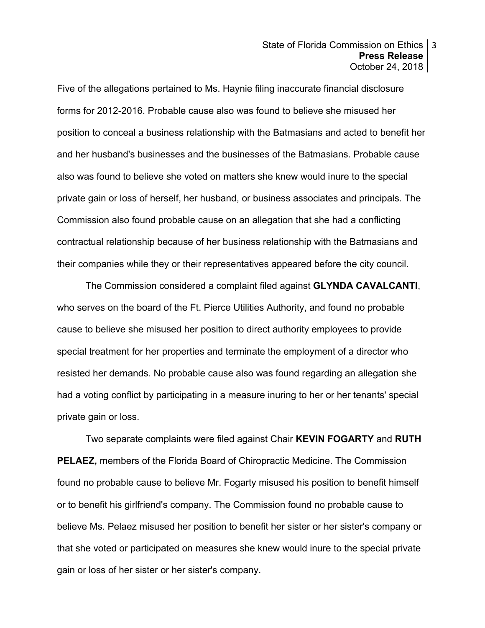## State of Florida Commission on Ethics 3 **Press Release**  October 24, 2018

Five of the allegations pertained to Ms. Haynie filing inaccurate financial disclosure forms for 2012-2016. Probable cause also was found to believe she misused her position to conceal a business relationship with the Batmasians and acted to benefit her and her husband's businesses and the businesses of the Batmasians. Probable cause also was found to believe she voted on matters she knew would inure to the special private gain or loss of herself, her husband, or business associates and principals. The Commission also found probable cause on an allegation that she had a conflicting contractual relationship because of her business relationship with the Batmasians and their companies while they or their representatives appeared before the city council.

 The Commission considered a complaint filed against **GLYNDA CAVALCANTI**, who serves on the board of the Ft. Pierce Utilities Authority, and found no probable cause to believe she misused her position to direct authority employees to provide special treatment for her properties and terminate the employment of a director who resisted her demands. No probable cause also was found regarding an allegation she had a voting conflict by participating in a measure inuring to her or her tenants' special private gain or loss.

Two separate complaints were filed against Chair **KEVIN FOGARTY** and **RUTH PELAEZ,** members of the Florida Board of Chiropractic Medicine. The Commission found no probable cause to believe Mr. Fogarty misused his position to benefit himself or to benefit his girlfriend's company. The Commission found no probable cause to believe Ms. Pelaez misused her position to benefit her sister or her sister's company or that she voted or participated on measures she knew would inure to the special private gain or loss of her sister or her sister's company.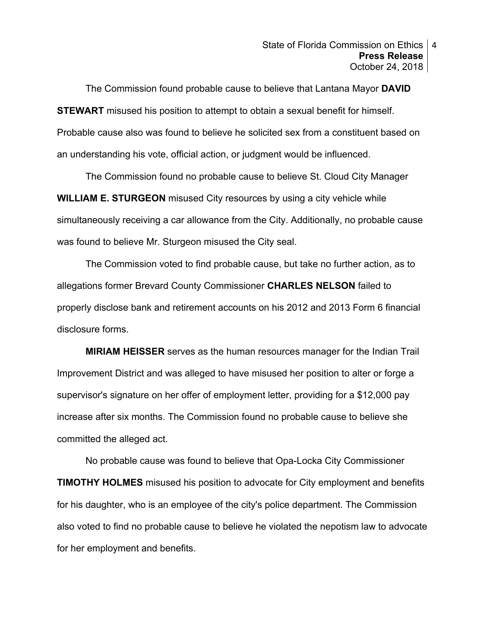The Commission found probable cause to believe that Lantana Mayor **DAVID STEWART** misused his position to attempt to obtain a sexual benefit for himself. Probable cause also was found to believe he solicited sex from a constituent based on an understanding his vote, official action, or judgment would be influenced.

 The Commission found no probable cause to believe St. Cloud City Manager **WILLIAM E. STURGEON** misused City resources by using a city vehicle while simultaneously receiving a car allowance from the City. Additionally, no probable cause was found to believe Mr. Sturgeon misused the City seal.

 The Commission voted to find probable cause, but take no further action, as to allegations former Brevard County Commissioner **CHARLES NELSON** failed to properly disclose bank and retirement accounts on his 2012 and 2013 Form 6 financial disclosure forms.

**MIRIAM HEISSER** serves as the human resources manager for the Indian Trail Improvement District and was alleged to have misused her position to alter or forge a supervisor's signature on her offer of employment letter, providing for a \$12,000 pay increase after six months. The Commission found no probable cause to believe she committed the alleged act.

 No probable cause was found to believe that Opa-Locka City Commissioner **TIMOTHY HOLMES** misused his position to advocate for City employment and benefits for his daughter, who is an employee of the city's police department. The Commission also voted to find no probable cause to believe he violated the nepotism law to advocate for her employment and benefits.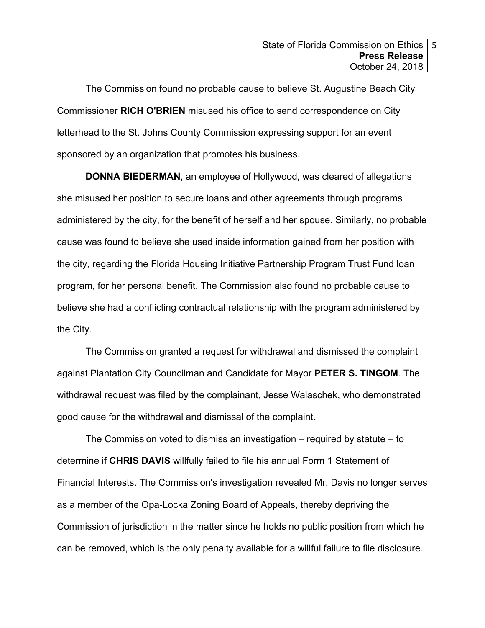The Commission found no probable cause to believe St. Augustine Beach City Commissioner **RICH O'BRIEN** misused his office to send correspondence on City letterhead to the St. Johns County Commission expressing support for an event sponsored by an organization that promotes his business.

**DONNA BIEDERMAN**, an employee of Hollywood, was cleared of allegations she misused her position to secure loans and other agreements through programs administered by the city, for the benefit of herself and her spouse. Similarly, no probable cause was found to believe she used inside information gained from her position with the city, regarding the Florida Housing Initiative Partnership Program Trust Fund loan program, for her personal benefit. The Commission also found no probable cause to believe she had a conflicting contractual relationship with the program administered by the City.

 The Commission granted a request for withdrawal and dismissed the complaint against Plantation City Councilman and Candidate for Mayor **PETER S. TINGOM**. The withdrawal request was filed by the complainant, Jesse Walaschek, who demonstrated good cause for the withdrawal and dismissal of the complaint.

 The Commission voted to dismiss an investigation – required by statute – to determine if **CHRIS DAVIS** willfully failed to file his annual Form 1 Statement of Financial Interests. The Commission's investigation revealed Mr. Davis no longer serves as a member of the Opa-Locka Zoning Board of Appeals, thereby depriving the Commission of jurisdiction in the matter since he holds no public position from which he can be removed, which is the only penalty available for a willful failure to file disclosure.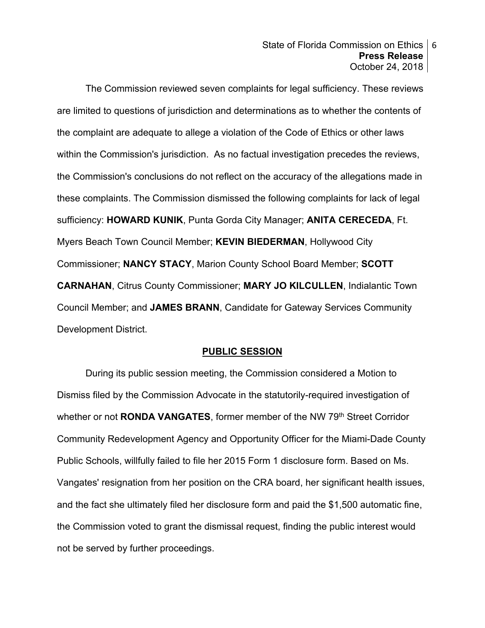The Commission reviewed seven complaints for legal sufficiency. These reviews are limited to questions of jurisdiction and determinations as to whether the contents of the complaint are adequate to allege a violation of the Code of Ethics or other laws within the Commission's jurisdiction. As no factual investigation precedes the reviews, the Commission's conclusions do not reflect on the accuracy of the allegations made in these complaints. The Commission dismissed the following complaints for lack of legal sufficiency: **HOWARD KUNIK**, Punta Gorda City Manager; **ANITA CERECEDA**, Ft. Myers Beach Town Council Member; **KEVIN BIEDERMAN**, Hollywood City Commissioner; **NANCY STACY**, Marion County School Board Member; **SCOTT CARNAHAN**, Citrus County Commissioner; **MARY JO KILCULLEN**, Indialantic Town Council Member; and **JAMES BRANN**, Candidate for Gateway Services Community Development District.

## **PUBLIC SESSION**

 During its public session meeting, the Commission considered a Motion to Dismiss filed by the Commission Advocate in the statutorily-required investigation of whether or not **RONDA VANGATES**, former member of the NW 79<sup>th</sup> Street Corridor Community Redevelopment Agency and Opportunity Officer for the Miami-Dade County Public Schools, willfully failed to file her 2015 Form 1 disclosure form. Based on Ms. Vangates' resignation from her position on the CRA board, her significant health issues, and the fact she ultimately filed her disclosure form and paid the \$1,500 automatic fine, the Commission voted to grant the dismissal request, finding the public interest would not be served by further proceedings.